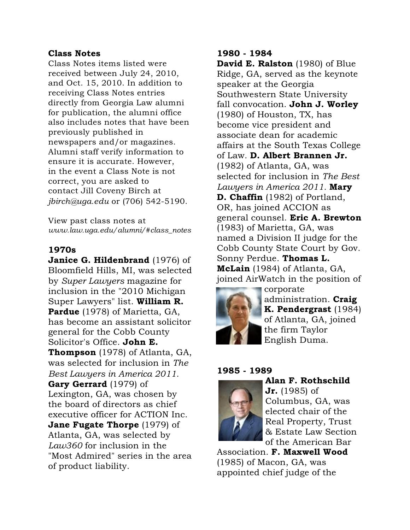# Class Notes

Class Notes items listed were received between July 24, 2010, and Oct. 15, 2010. In addition to receiving Class Notes entries directly from Georgia Law alumni for publication, the alumni office also includes notes that have been previously published in newspapers and/or magazines. Alumni staff verify information to ensure it is accurate. However, in the event a Class Note is not correct, you are asked to contact Jill Coveny Birch at *jbirch@uga.edu* or (706) 542-5190.

View past class notes at *www.law.uga.edu/alumni/#class\_notes*

#### 1970s

Janice G. Hildenbrand (1976) of Bloomfield Hills, MI, was selected by *Super Lawyers* magazine for inclusion in the "2010 Michigan Super Lawyers" list. William R. Pardue (1978) of Marietta, GA, has become an assistant solicitor general for the Cobb County Solicitor's Office. John E. **Thompson** (1978) of Atlanta, GA, was selected for inclusion in *The Best Lawyers in America 2011.* Gary Gerrard (1979) of Lexington, GA, was chosen by the board of directors as chief executive officer for ACTION Inc. **Jane Fugate Thorpe** (1979) of Atlanta, GA, was selected by *Law360* for inclusion in the "Most Admired" series in the area of product liability.

#### 1980 - 1984

David E. Ralston (1980) of Blue Ridge, GA, served as the keynote speaker at the Georgia Southwestern State University fall convocation. John J. Worley (1980) of Houston, TX, has become vice president and associate dean for academic affairs at the South Texas College of Law. D. Albert Brannen Jr. (1982) of Atlanta, GA, was selected for inclusion in *The Best Lawyers in America 2011.* Mary **D. Chaffin** (1982) of Portland, OR, has joined ACCION as general counsel. Eric A. Brewton (1983) of Marietta, GA, was named a Division II judge for the Cobb County State Court by Gov. Sonny Perdue. Thomas L. McLain (1984) of Atlanta, GA, joined AirWatch in the position of



corporate administration. Craig K. Pendergrast (1984) of Atlanta, GA, joined the firm Taylor English Duma.

#### 1985 - 1989



Alan F. Rothschild

**Jr.** (1985) of Columbus, GA, was elected chair of the Real Property, Trust & Estate Law Section of the American Bar

Association. F. Maxwell Wood (1985) of Macon, GA, was appointed chief judge of the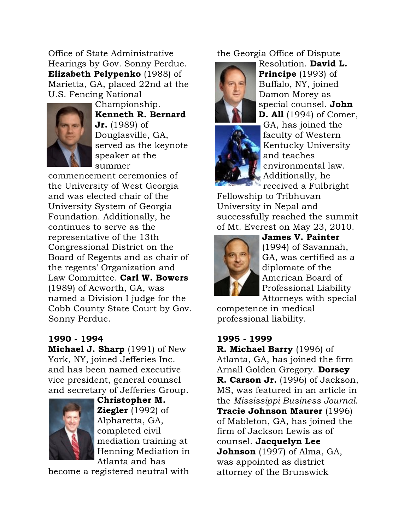Office of State Administrative Hearings by Gov. Sonny Perdue. Elizabeth Pelypenko (1988) of Marietta, GA, placed 22nd at the U.S. Fencing National



Championship. Kenneth R. Bernard **Jr.** (1989) of Douglasville, GA, served as the keynote speaker at the summer

commencement ceremonies of the University of West Georgia and was elected chair of the University System of Georgia Foundation. Additionally, he continues to serve as the representative of the 13th Congressional District on the Board of Regents and as chair of the regents' Organization and Law Committee. Carl W. Bowers (1989) of Acworth, GA, was named a Division I judge for the Cobb County State Court by Gov. Sonny Perdue.

# 1990 - 1994

Michael J. Sharp (1991) of New York, NY, joined Jefferies Inc. and has been named executive vice president, general counsel and secretary of Jefferies Group.



Christopher M. **Ziegler** (1992) of Alpharetta, GA, completed civil mediation training at Henning Mediation in Atlanta and has

become a registered neutral with

the Georgia Office of Dispute



Resolution. David L. Principe (1993) of Buffalo, NY, joined Damon Morey as special counsel. John D. All (1994) of Comer,



GA, has joined the faculty of Western Kentucky University and teaches environmental law. Additionally, he received a Fulbright

Fellowship to Tribhuvan University in Nepal and successfully reached the summit of Mt. Everest on May 23, 2010.



James V. Painter (1994) of Savannah, GA, was certified as a diplomate of the American Board of Professional Liability Attorneys with special

competence in medical professional liability.

# 1995 - 1999

R. Michael Barry (1996) of Atlanta, GA, has joined the firm Arnall Golden Gregory. Dorsey R. Carson Jr. (1996) of Jackson, MS, was featured in an article in the *Mississippi Business Journal*. Tracie Johnson Maurer (1996) of Mableton, GA, has joined the firm of Jackson Lewis as of counsel. Jacquelyn Lee **Johnson** (1997) of Alma, GA, was appointed as district attorney of the Brunswick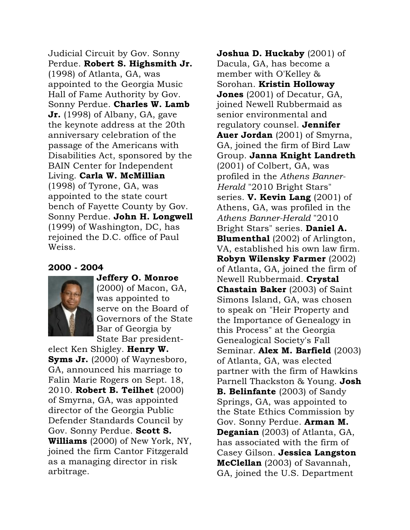Judicial Circuit by Gov. Sonny Perdue. Robert S. Highsmith Jr. (1998) of Atlanta, GA, was appointed to the Georgia Music Hall of Fame Authority by Gov. Sonny Perdue. Charles W. Lamb **Jr.** (1998) of Albany, GA, gave the keynote address at the 20th anniversary celebration of the passage of the Americans with Disabilities Act, sponsored by the BAIN Center for Independent Living. Carla W. McMillian (1998) of Tyrone, GA, was appointed to the state court bench of Fayette County by Gov. Sonny Perdue. John H. Longwell (1999) of Washington, DC, has rejoined the D.C. office of Paul Weiss.

# 2000 - 2004



Jeffery O. Monroe (2000) of Macon, GA, was appointed to serve on the Board of Governors of the State Bar of Georgia by State Bar president-

elect Ken Shigley. Henry W. Syms Jr. (2000) of Waynesboro, GA, announced his marriage to Falin Marie Rogers on Sept. 18, 2010. Robert B. Teilhet (2000) of Smyrna, GA, was appointed director of the Georgia Public Defender Standards Council by Gov. Sonny Perdue. Scott S. Williams (2000) of New York, NY, joined the firm Cantor Fitzgerald as a managing director in risk arbitrage.

**Joshua D. Huckaby**  $(2001)$  of Dacula, GA, has become a member with O'Kelley & Sorohan. Kristin Holloway **Jones** (2001) of Decatur, GA, joined Newell Rubbermaid as senior environmental and regulatory counsel. **Jennifer** Auer Jordan (2001) of Smyrna, GA, joined the firm of Bird Law Group. Janna Knight Landreth (2001) of Colbert, GA, was profiled in the *Athens Banner-Herald* "2010 Bright Stars" series. **V. Kevin Lang**  $(2001)$  of Athens, GA, was profiled in the *Athens Banner-Herald* "2010 Bright Stars" series. Daniel A. **Blumenthal** (2002) of Arlington, VA, established his own law firm. Robyn Wilensky Farmer (2002) of Atlanta, GA, joined the firm of Newell Rubbermaid. **Crystal Chastain Baker** (2003) of Saint Simons Island, GA, was chosen to speak on "Heir Property and the Importance of Genealogy in this Process" at the Georgia Genealogical Society's Fall Seminar. Alex M. Barfield (2003) of Atlanta, GA, was elected partner with the firm of Hawkins Parnell Thackston & Young. Josh **B. Belinfante** (2003) of Sandy Springs, GA, was appointed to the State Ethics Commission by Gov. Sonny Perdue. Arman M. Deganian (2003) of Atlanta, GA, has associated with the firm of Casey Gilson. Jessica Langston McClellan (2003) of Savannah, GA, joined the U.S. Department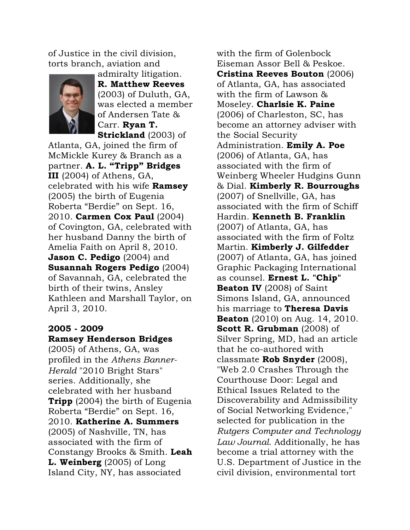of Justice in the civil division, torts branch, aviation and



admiralty litigation. R. Matthew Reeves (2003) of Duluth, GA, was elected a member of Andersen Tate & Carr. Ryan T. Strickland (2003) of

Atlanta, GA, joined the firm of McMickle Kurey & Branch as a partner. A. L. "Tripp" Bridges III (2004) of Athens, GA, celebrated with his wife Ramsey (2005) the birth of Eugenia Roberta "Berdie" on Sept. 16, 2010. Carmen Cox Paul (2004) of Covington, GA, celebrated with her husband Danny the birth of Amelia Faith on April 8, 2010. Jason C. Pedigo (2004) and Susannah Rogers Pedigo (2004) of Savannah, GA, celebrated the birth of their twins, Ansley Kathleen and Marshall Taylor, on April 3, 2010.

# 2005 - 2009 Ramsey Henderson Bridges

(2005) of Athens, GA, was profiled in the *Athens Banner-Herald* "2010 Bright Stars" series. Additionally, she celebrated with her husband **Tripp** (2004) the birth of Eugenia Roberta "Berdie" on Sept. 16, 2010. Katherine A. Summers (2005) of Nashville, TN, has associated with the firm of Constangy Brooks & Smith. Leah L. Weinberg (2005) of Long Island City, NY, has associated

with the firm of Golenbock Eiseman Assor Bell & Peskoe. Cristina Reeves Bouton (2006) of Atlanta, GA, has associated with the firm of Lawson & Moseley. Charlsie K. Paine (2006) of Charleston, SC, has become an attorney adviser with the Social Security Administration. Emily A. Poe (2006) of Atlanta, GA, has associated with the firm of Weinberg Wheeler Hudgins Gunn & Dial. Kimberly R. Bourroughs (2007) of Snellville, GA, has associated with the firm of Schiff Hardin. Kenneth B. Franklin (2007) of Atlanta, GA, has associated with the firm of Foltz Martin. Kimberly J. Gilfedder (2007) of Atlanta, GA, has joined Graphic Packaging International as counsel. Ernest L. "Chip" **Beaton IV** (2008) of Saint Simons Island, GA, announced his marriage to **Theresa Davis Beaton** (2010) on Aug. 14, 2010. Scott R. Grubman (2008) of Silver Spring, MD, had an article that he co-authored with classmate **Rob Snyder**  $(2008)$ , "Web 2.0 Crashes Through the Courthouse Door: Legal and Ethical Issues Related to the Discoverability and Admissibility of Social Networking Evidence," selected for publication in the *Rutgers Computer and Technology Law Journal*. Additionally, he has become a trial attorney with the U.S. Department of Justice in the civil division, environmental tort